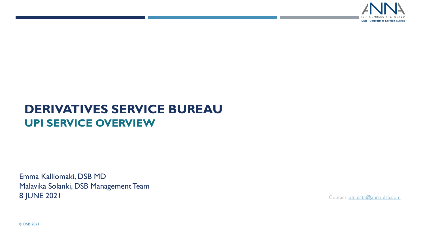

# **DERIVATIVES SERVICE BUREAU UPI SERVICE OVERVIEW**

Emma Kalliomaki, DSB MD Malavika Solanki, DSB Management Team 8 JUNE 2021 Contact: [otc.data@anna-dsb.com](mailto:otc.data@anna-dsb.com)

© DSB 2021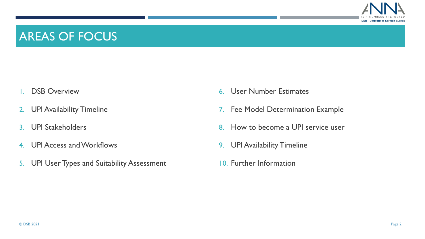

### AREAS OF FOCUS

- 1. DSB Overview
- 2. UPI Availability Timeline
- 3. UPI Stakeholders
- 4. UPI Access and Workflows
- 5. UPI User Types and Suitability Assessment
- 6. User Number Estimates
- 7. Fee Model Determination Example
- 8. How to become a UPI service user
- 9. UPI Availability Timeline
- 10. Further Information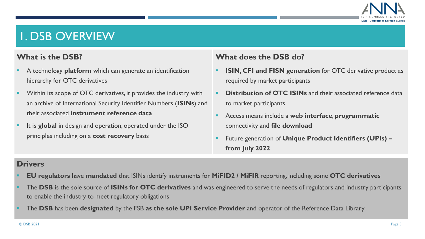

# 1. DSB OVERVIEW

#### **What is the DSB?**

- A technology **platform** which can generate an identification hierarchy for OTC derivatives
- Within its scope of OTC derivatives, it provides the industry with an archive of International Security Identifier Numbers (**ISINs**) and their associated **instrument reference data**
- It is **global** in design and operation, operated under the ISO principles including on a **cost recovery** basis

#### **What does the DSB do?**

- **ISIN, CFI and FISN generation** for OTC derivative product as required by market participants
- **Distribution of OTC ISINs** and their associated reference data to market participants
- Access means include a **web interface**, **programmatic** connectivity and **file download**
- Future generation of **Unique Product Identifiers (UPIs) – from July 2022**

#### **Drivers**

- **EU regulators** have **mandated** that ISINs identify instruments for **MiFID2 / MiFIR** reporting, including some **OTC derivatives**
- The **DSB** is the sole source of **ISINs for OTC derivatives** and was engineered to serve the needs of regulators and industry participants, to enable the industry to meet regulatory obligations
- The DSB has been designated by the FSB as the sole UPI Service Provider and operator of the Reference Data Library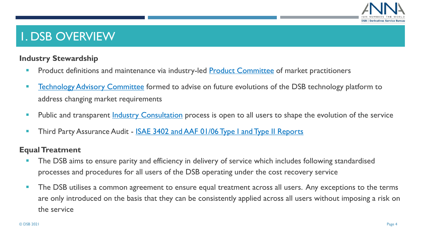

### 1. DSB OVERVIEW

#### **Industry Stewardship**

- **Product definitions and maintenance via industry-led [Product Committee](https://www.anna-dsb.com/product-committee/) of market practitioners**
- **EXECT** [Technology Advisory Committee](https://www.anna-dsb.com/technology-advisory-committee/) formed to advise on future evolutions of the DSB technology platform to address changing market requirements
- **•** Public and transparent **Industry Consultation** process is open to all users to shape the evolution of the service
- **Third Party Assurance Audit [ISAE 3402 and AAF 01/06 Type I and Type II Reports](https://www.anna-dsb.com/third-party-assurance-audit/)**

#### **Equal Treatment**

- The DSB aims to ensure parity and efficiency in delivery of service which includes following standardised processes and procedures for all users of the DSB operating under the cost recovery service
- **The DSB utilises a common agreement to ensure equal treatment across all users. Any exceptions to the terms** are only introduced on the basis that they can be consistently applied across all users without imposing a risk on the service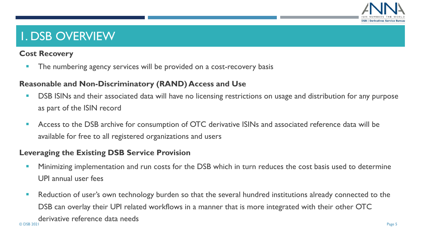

# 1. DSB OVERVIEW

#### **Cost Recovery**

**• The numbering agency services will be provided on a cost-recovery basis** 

#### **Reasonable and Non-Discriminatory (RAND) Access and Use**

- DSB ISINs and their associated data will have no licensing restrictions on usage and distribution for any purpose as part of the ISIN record
- Access to the DSB archive for consumption of OTC derivative ISINs and associated reference data will be available for free to all registered organizations and users

#### **Leveraging the Existing DSB Service Provision**

- **■** Minimizing implementation and run costs for the DSB which in turn reduces the cost basis used to determine UPI annual user fees
- Reduction of user's own technology burden so that the several hundred institutions already connected to the DSB can overlay their UPI related workflows in a manner that is more integrated with their other OTC derivative reference data needs © DSB 2021 Page 5 Page 5 Page 5 Page 5 Page 5 Page 5 Page 5 Page 5 Page 5 Page 5 Page 5 Page 5 Page 5 Page 5 Page 5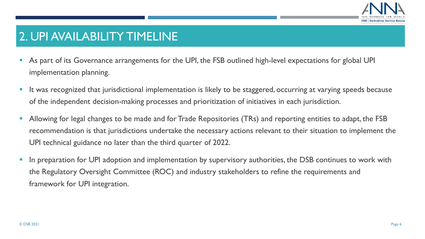

### 2. UPI AVAILABILITY TIMELINE

- As part of its Governance arrangements for the UPI, the FSB outlined high-level expectations for global UPI implementation planning.
- It was recognized that jurisdictional implementation is likely to be staggered, occurring at varying speeds because of the independent decision-making processes and prioritization of initiatives in each jurisdiction.
- **EXT Allowing for legal changes to be made and for Trade Repositories (TRs) and reporting entities to adapt, the FSB** recommendation is that jurisdictions undertake the necessary actions relevant to their situation to implement the UPI technical guidance no later than the third quarter of 2022.
- In preparation for UPI adoption and implementation by supervisory authorities, the DSB continues to work with the Regulatory Oversight Committee (ROC) and industry stakeholders to refine the requirements and framework for UPI integration.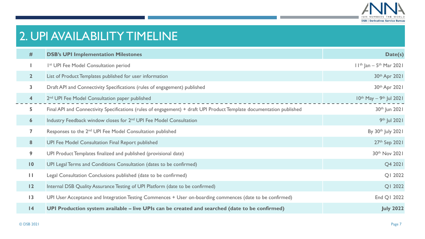

# 2. UPI AVAILABILITY TIMELINE

| #                       | <b>DSB's UPI Implementation Milestones</b>                                                                           | Date(s)                                  |
|-------------------------|----------------------------------------------------------------------------------------------------------------------|------------------------------------------|
|                         | Ist UPI Fee Model Consultation period                                                                                | $11^{th}$ Jan – 5 <sup>th</sup> Mar 2021 |
| 2 <sup>1</sup>          | List of Product Templates published for user information                                                             | 30th Apr 2021                            |
| $\overline{\mathbf{3}}$ | Draft API and Connectivity Specifications (rules of engagement) published                                            | 30th Apr 2021                            |
| $\overline{\mathbf{4}}$ | 2 <sup>nd</sup> UPI Fee Model Consultation paper published                                                           | $10^{th}$ May - 9 <sup>th</sup> Jul 2021 |
| 5                       | Final API and Connectivity Specifications (rules of engagement) + draft UPI Product Template documentation published | 30th Jun 2021                            |
| $\boldsymbol{6}$        | Industry Feedback window closes for 2 <sup>nd</sup> UPI Fee Model Consultation                                       | 9th Jul 2021                             |
| 7                       | Responses to the 2 <sup>nd</sup> UPI Fee Model Consultation published                                                | By 30th July 2021                        |
| 8                       | UPI Fee Model Consultation Final Report published                                                                    | 27th Sep 2021                            |
| 9                       | UPI Product Templates finalized and published (provisional date)                                                     | 30th Nov 2021                            |
| $\overline{10}$         | UPI Legal Terms and Conditions Consultation (dates to be confirmed)                                                  | Q4 2021                                  |
| Ш                       | Legal Consultation Conclusions published (date to be confirmed)                                                      | QI 2022                                  |
| 12                      | Internal DSB Quality Assurance Testing of UPI Platform (date to be confirmed)                                        | QI 2022                                  |
| $\overline{13}$         | UPI User Acceptance and Integration Testing Commences + User on-boarding commences (date to be confirmed)            | End Q1 2022                              |
| 4                       | UPI Production system available – live UPIs can be created and searched (date to be confirmed)                       | <b>July 2022</b>                         |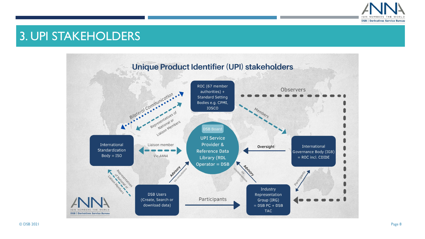

## 3. UPI STAKEHOLDERS

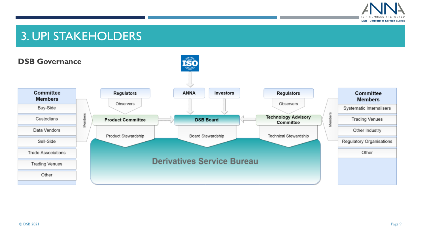

# 3. UPI STAKEHOLDERS

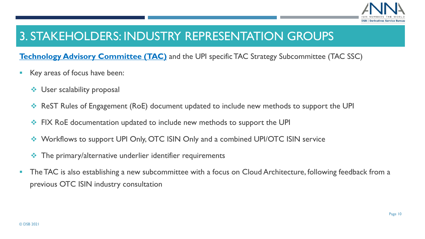

# 3. STAKEHOLDERS: INDUSTRY REPRESENTATION GROUPS

**[Technology Advisory Committee \(TAC\)](https://www.anna-dsb.com/technology-advisory-committee/)** and the UPI specific TAC Strategy Subcommittee (TAC SSC)

- Key areas of focus have been:
	- ❖ User scalability proposal
	- ❖ ReST Rules of Engagement (RoE) document updated to include new methods to support the UPI
	- ❖ FIX RoE documentation updated to include new methods to support the UPI
	- ❖ Workflows to support UPI Only, OTC ISIN Only and a combined UPI/OTC ISIN service
	- ❖ The primary/alternative underlier identifier requirements
- The TAC is also establishing a new subcommittee with a focus on Cloud Architecture, following feedback from a previous OTC ISIN industry consultation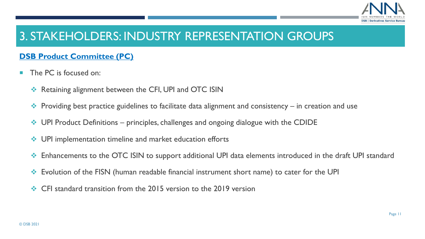

# 3. STAKEHOLDERS: INDUSTRY REPRESENTATION GROUPS

#### **[DSB Product Committee \(PC\)](https://www.anna-dsb.com/product-committee/)**

- The PC is focused on:
	- ❖ Retaining alignment between the CFI, UPI and OTC ISIN
	- $\leftrightarrow$  Providing best practice guidelines to facilitate data alignment and consistency in creation and use
	- $\cdot$  UPI Product Definitions principles, challenges and ongoing dialogue with the CDIDE
	- ❖ UPI implementation timeline and market education efforts
	- ❖ Enhancements to the OTC ISIN to support additional UPI data elements introduced in the draft UPI standard
	- ❖ Evolution of the FISN (human readable financial instrument short name) to cater for the UPI
	- ❖ CFI standard transition from the 2015 version to the 2019 version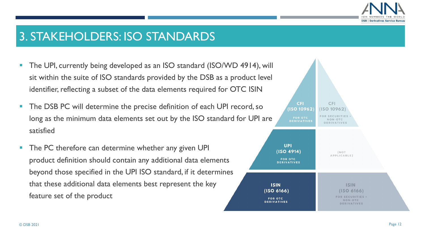

### 3. STAKEHOLDERS: ISO STANDARDS

- The UPI, currently being developed as an ISO standard (ISO/WD 4914), will sit within the suite of ISO standards provided by the DSB as a product level identifier, reflecting a subset of the data elements required for OTC ISIN
- The DSB PC will determine the precise definition of each UPI record, so long as the minimum data elements set out by the ISO standard for UPI are satisfied
- The PC therefore can determine whether any given UPI product definition should contain any additional data elements beyond those specified in the UPI ISO standard, if it determines that these additional data elements best represent the key feature set of the product

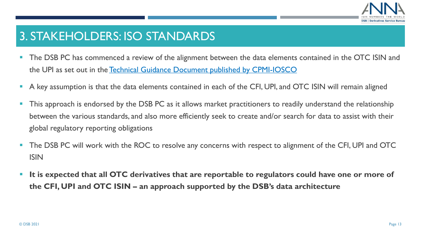

## 3. STAKEHOLDERS: ISO STANDARDS

- The DSB PC has commenced a review of the alignment between the data elements contained in the OTC ISIN and the UPI as set out in the [Technical Guidance Document published by CPMI-IOSCO](https://www.bis.org/cpmi/publ/d169.htm)
- A key assumption is that the data elements contained in each of the CFI, UPI, and OTC ISIN will remain aligned
- This approach is endorsed by the DSB PC as it allows market practitioners to readily understand the relationship between the various standards, and also more efficiently seek to create and/or search for data to assist with their global regulatory reporting obligations
- The DSB PC will work with the ROC to resolve any concerns with respect to alignment of the CFI, UPI and OTC ISIN
- It is expected that all OTC derivatives that are reportable to regulators could have one or more of **the CFI, UPI and OTC ISIN – an approach supported by the DSB's data architecture**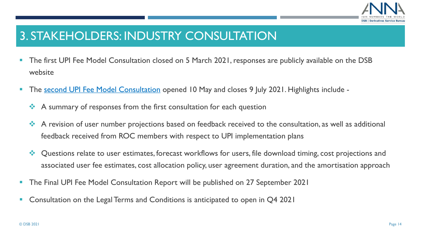

# 3. STAKEHOLDERS: INDUSTRY CONSULTATION

- **The first UPI Fee Model Consultation closed on 5 March 2021, responses are publicly available on the DSB** website
- The [second UPI Fee Model Consultation](https://www.anna-dsb.com/upi-fee-model-consultation-2021/) opened 10 May and closes 9 July 2021. Highlights include -
	- ❖ A summary of responses from the first consultation for each question
	- ❖ A revision of user number projections based on feedback received to the consultation, as well as additional feedback received from ROC members with respect to UPI implementation plans
	- ❖ Questions relate to user estimates, forecast workflows for users, file download timing, cost projections and associated user fee estimates, cost allocation policy, user agreement duration, and the amortisation approach
- The Final UPI Fee Model Consultation Report will be published on 27 September 2021
- Consultation on the Legal Terms and Conditions is anticipated to open in Q4 2021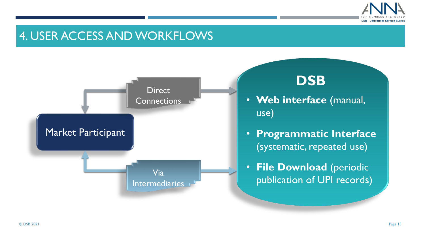

### 4. USER ACCESS AND WORKFLOWS



# **DSB**

- **Web interface** (manual, use)
- **Programmatic Interface** (systematic, repeated use)
- **File Download** (periodic publication of UPI records)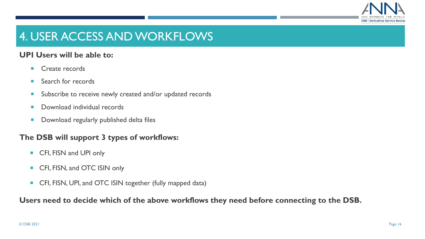

# 4. USER ACCESS AND WORKFLOWS

#### **UPI Users will be able to:**

- **Create records**
- Search for records
- Subscribe to receive newly created and/or updated records
- **Download individual records**
- **Download regularly published delta files**

#### **The DSB will support 3 types of workflows:**

- CFI, FISN and UPI only
- CFI, FISN, and OTC ISIN only
- CFI, FISN, UPI, and OTC ISIN together (fully mapped data)

#### **Users need to decide which of the above workflows they need before connecting to the DSB.**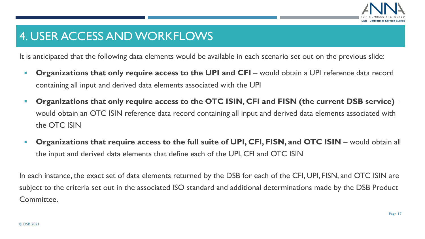

# 4. USER ACCESS AND WORKFLOWS

It is anticipated that the following data elements would be available in each scenario set out on the previous slide:

- **Organizations that only require access to the UPI and CFI** would obtain a UPI reference data record containing all input and derived data elements associated with the UPI
- **Organizations that only require access to the OTC ISIN, CFI and FISN (the current DSB service)** would obtain an OTC ISIN reference data record containing all input and derived data elements associated with the OTC ISIN
- **Organizations that require access to the full suite of UPI, CFI, FISN, and OTC ISIN** would obtain all the input and derived data elements that define each of the UPI, CFI and OTC ISIN

In each instance, the exact set of data elements returned by the DSB for each of the CFI, UPI, FISN, and OTC ISIN are subject to the criteria set out in the associated ISO standard and additional determinations made by the DSB Product Committee.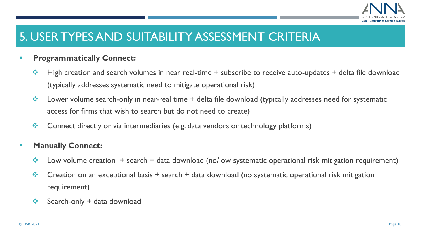

# 5. USER TYPES AND SUITABILITY ASSESSMENT CRITERIA

#### **EXPROGRAMMATICALLY Connect:**

- ❖ High creation and search volumes in near real-time + subscribe to receive auto-updates + delta file download (typically addresses systematic need to mitigate operational risk)
- ❖ Lower volume search-only in near-real time + delta file download (typically addresses need for systematic access for firms that wish to search but do not need to create)
- ❖ Connect directly or via intermediaries (e.g. data vendors or technology platforms)

#### ▪ **Manually Connect:**

- ❖ Low volume creation + search + data download (no/low systematic operational risk mitigation requirement)
- $\cdot \cdot$  Creation on an exceptional basis + search + data download (no systematic operational risk mitigation requirement)
- $\div$  Search-only + data download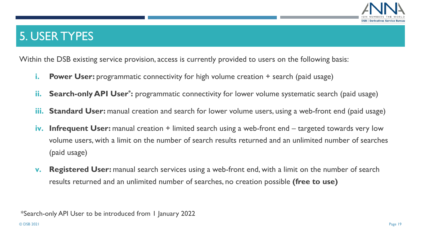

# 5. USER TYPES

Within the DSB existing service provision, access is currently provided to users on the following basis:

- **i. Power User:** programmatic connectivity for high volume creation + search (paid usage)
- **ii.** Search-only API User<sup>\*</sup>: programmatic connectivity for lower volume systematic search (paid usage)
- **iii. Standard User:** manual creation and search for lower volume users, using a web-front end (paid usage)
- **iv. Infrequent User:** manual creation + limited search using a web-front end targeted towards very low volume users, with a limit on the number of search results returned and an unlimited number of searches (paid usage)
- **v. Registered User:** manual search services using a web-front end, with a limit on the number of search results returned and an unlimited number of searches, no creation possible **(free to use)**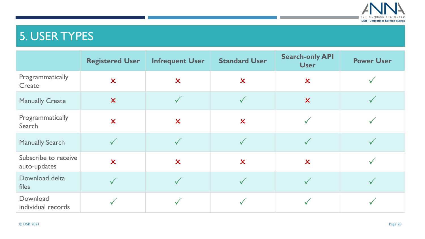

# 5. USER TYPES

|                                      | <b>Registered User</b>    | <b>Infrequent User</b>    | <b>Standard User</b>      | <b>Search-only API</b><br><b>User</b> | <b>Power User</b> |
|--------------------------------------|---------------------------|---------------------------|---------------------------|---------------------------------------|-------------------|
| Programmatically<br>Create           | $\boldsymbol{\mathsf{x}}$ | $\boldsymbol{\mathsf{x}}$ | $\boldsymbol{\mathsf{x}}$ | $\boldsymbol{\mathsf{x}}$             |                   |
| <b>Manually Create</b>               | $\boldsymbol{\mathsf{x}}$ | $\sqrt{}$                 |                           | $\boldsymbol{\chi}$                   |                   |
| Programmatically<br>Search           | $\overline{\mathsf{x}}$   | $\overline{\mathsf{x}}$   | $\boldsymbol{\mathsf{x}}$ |                                       |                   |
| <b>Manually Search</b>               | $\checkmark$              |                           |                           |                                       |                   |
| Subscribe to receive<br>auto-updates | $\overline{\mathsf{x}}$   | $\overline{\mathsf{x}}$   | $\boldsymbol{\chi}$       | $\boldsymbol{\mathsf{x}}$             |                   |
| Download delta<br>files              | $\checkmark$              | $\sqrt{}$                 |                           |                                       |                   |
| Download<br>individual records       |                           |                           |                           |                                       |                   |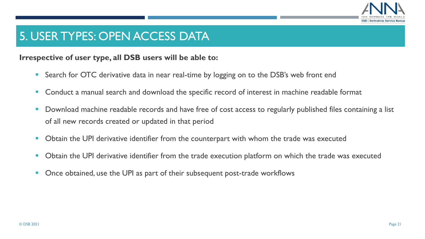

### 5. USER TYPES: OPEN ACCESS DATA

#### **Irrespective of user type, all DSB users will be able to:**

- Search for OTC derivative data in near real-time by logging on to the DSB's web front end
- Conduct a manual search and download the specific record of interest in machine readable format
- Download machine readable records and have free of cost access to regularly published files containing a list of all new records created or updated in that period
- Obtain the UPI derivative identifier from the counterpart with whom the trade was executed
- Obtain the UPI derivative identifier from the trade execution platform on which the trade was executed
- Once obtained, use the UPI as part of their subsequent post-trade workflows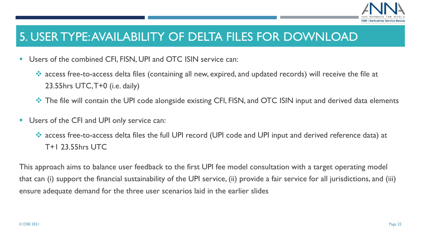

### 5. USER TYPE: AVAILABILITY OF DELTA FILES FOR DOWNLOAD

- Users of the combined CFI, FISN, UPI and OTC ISIN service can:
	- ❖ access free-to-access delta files (containing all new, expired, and updated records) will receive the file at 23.55hrs UTC, T+0 (i.e. daily)
	- ❖ The file will contain the UPI code alongside existing CFI, FISN, and OTC ISIN input and derived data elements
- Users of the CFI and UPI only service can:
	- ❖ access free-to-access delta files the full UPI record (UPI code and UPI input and derived reference data) at T+1 23.55hrs UTC

This approach aims to balance user feedback to the first UPI fee model consultation with a target operating model that can (i) support the financial sustainability of the UPI service, (ii) provide a fair service for all jurisdictions, and (iii) ensure adequate demand for the three user scenarios laid in the earlier slides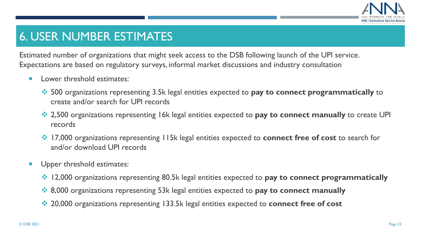

# 6. USER NUMBER ESTIMATES

Estimated number of organizations that might seek access to the DSB following launch of the UPI service. Expectations are based on regulatory surveys, informal market discussions and industry consultation

- **Lower threshold estimates:** 
	- ❖ 500 organizations representing 3.5k legal entities expected to **pay to connect programmatically** to create and/or search for UPI records
	- ❖ 2,500 organizations representing 16k legal entities expected to **pay to connect manually** to create UPI records
	- ❖ 17,000 organizations representing 115k legal entities expected to **connect free of cost** to search for and/or download UPI records
- Upper threshold estimates:
	- ❖ 12,000 organizations representing 80.5k legal entities expected to **pay to connect programmatically**
	- ❖ 8,000 organizations representing 53k legal entities expected to **pay to connect manually**
	- ❖ 20,000 organizations representing 133.5k legal entities expected to **connect free of cost**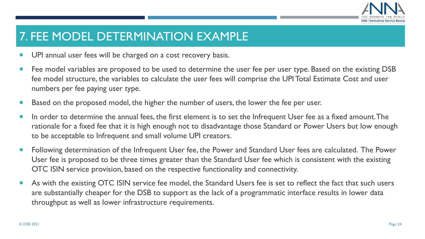

# 7. FEE MODEL DETERMINATION EXAMPLE

- **UPI** annual user fees will be charged on a cost recovery basis.
- Fee model variables are proposed to be used to determine the user fee per user type. Based on the existing DSB fee model structure, the variables to calculate the user fees will comprise the UPI Total Estimate Cost and user numbers per fee paying user type.
- Based on the proposed model, the higher the number of users, the lower the fee per user.
- In order to determine the annual fees, the first element is to set the Infrequent User fee as a fixed amount. The rationale for a fixed fee that it is high enough not to disadvantage those Standard or Power Users but low enough to be acceptable to Infrequent and small volume UPI creators.
- Following determination of the Infrequent User fee, the Power and Standard User fees are calculated. The Power User fee is proposed to be three times greater than the Standard User fee which is consistent with the existing OTC ISIN service provision, based on the respective functionality and connectivity.
- As with the existing OTC ISIN service fee model, the Standard Users fee is set to reflect the fact that such users are substantially cheaper for the DSB to support as the lack of a programmatic interface results in lower data throughput as well as lower infrastructure requirements.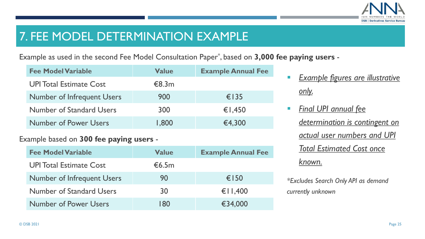

### 7. FEE MODEL DETERMINATION EXAMPLE

Example as used in the second Fee Model Consultation Paper\* , based on **3,000 fee paying users** -

| <b>Fee Model Variable</b>         | <b>Value</b> | <b>Example Annual Fee</b> |
|-----------------------------------|--------------|---------------------------|
| <b>UPI Total Estimate Cost</b>    | €8.3m        |                           |
| <b>Number of Infrequent Users</b> | 900          | $\epsilon$   35           |
| <b>Number of Standard Users</b>   | 300          | €1,450                    |
| <b>Number of Power Users</b>      | 1,800        | €4,300                    |

#### Example based on **300 fee paying users** -

| <b>Fee Model Variable</b>         | <b>Value</b> | <b>Example Annual Fee</b> |
|-----------------------------------|--------------|---------------------------|
| <b>UPI Total Estimate Cost</b>    | €6.5m        |                           |
| <b>Number of Infrequent Users</b> | 90           | €150                      |
| <b>Number of Standard Users</b>   | 30           | € $\overline{11,400}$     |
| <b>Number of Power Users</b>      | 180          | €34,000                   |

- **Example figures are illustrative** *only.*
- *Final UPI annual fee determination is contingent on actual user numbers and UPI Total Estimated Cost once known.*
- *\*Excludes Search Only API as demand currently unknown*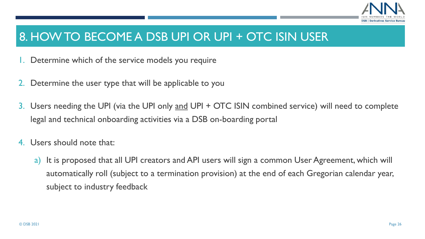

### 8. HOW TO BECOME A DSB UPI OR UPI + OTC ISIN USER

- 1. Determine which of the service models you require
- 2. Determine the user type that will be applicable to you
- 3. Users needing the UPI (via the UPI only and UPI + OTC ISIN combined service) will need to complete legal and technical onboarding activities via a DSB on-boarding portal
- 4. Users should note that:
	- a) It is proposed that all UPI creators and API users will sign a common User Agreement, which will automatically roll (subject to a termination provision) at the end of each Gregorian calendar year, subject to industry feedback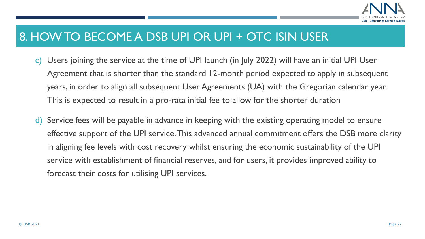

### 8. HOW TO BECOME A DSB UPI OR UPI + OTC ISIN USER

- c) Users joining the service at the time of UPI launch (in July 2022) will have an initial UPI User Agreement that is shorter than the standard 12-month period expected to apply in subsequent years, in order to align all subsequent User Agreements (UA) with the Gregorian calendar year. This is expected to result in a pro-rata initial fee to allow for the shorter duration
- d) Service fees will be payable in advance in keeping with the existing operating model to ensure effective support of the UPI service. This advanced annual commitment offers the DSB more clarity in aligning fee levels with cost recovery whilst ensuring the economic sustainability of the UPI service with establishment of financial reserves, and for users, it provides improved ability to forecast their costs for utilising UPI services.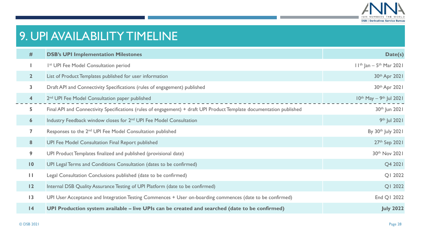

# 9. UPI AVAILABILITY TIMELINE

| #                       | <b>DSB's UPI Implementation Milestones</b>                                                                           | Date(s)                                  |
|-------------------------|----------------------------------------------------------------------------------------------------------------------|------------------------------------------|
|                         | 1 <sup>st</sup> UPI Fee Model Consultation period                                                                    | $11^{th}$ Jan – $5^{th}$ Mar 2021        |
| 2 <sup>2</sup>          | List of Product Templates published for user information                                                             | 30th Apr 2021                            |
| $\overline{\mathbf{3}}$ | Draft API and Connectivity Specifications (rules of engagement) published                                            | 30th Apr 2021                            |
| $\overline{\mathbf{4}}$ | 2 <sup>nd</sup> UPI Fee Model Consultation paper published                                                           | $10^{th}$ May - 9 <sup>th</sup> Jul 2021 |
| 5                       | Final API and Connectivity Specifications (rules of engagement) + draft UPI Product Template documentation published | 30th Jun 2021                            |
| $\boldsymbol{6}$        | Industry Feedback window closes for 2 <sup>nd</sup> UPI Fee Model Consultation                                       | 9th Jul 2021                             |
| 7                       | Responses to the 2 <sup>nd</sup> UPI Fee Model Consultation published                                                | By 30th July 2021                        |
| 8                       | UPI Fee Model Consultation Final Report published                                                                    | 27th Sep 2021                            |
| 9                       | UPI Product Templates finalized and published (provisional date)                                                     | 30th Nov 2021                            |
| $\blacksquare$          | UPI Legal Terms and Conditions Consultation (dates to be confirmed)                                                  | Q4 2021                                  |
| Ш                       | Legal Consultation Conclusions published (date to be confirmed)                                                      | QI 2022                                  |
| $\overline{12}$         | Internal DSB Quality Assurance Testing of UPI Platform (date to be confirmed)                                        | QI 2022                                  |
| $\overline{13}$         | UPI User Acceptance and Integration Testing Commences + User on-boarding commences (date to be confirmed)            | End Q1 2022                              |
| 4                       | UPI Production system available – live UPIs can be created and searched (date to be confirmed)                       | <b>July 2022</b>                         |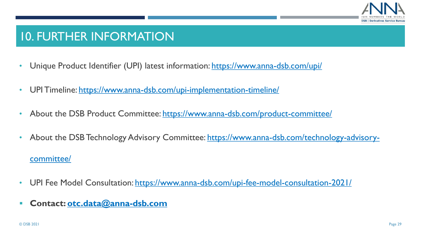

### 10. FURTHER INFORMATION

- Unique Product Identifier (UPI) latest information:<https://www.anna-dsb.com/upi/>
- UPI Timeline:<https://www.anna-dsb.com/upi-implementation-timeline/>
- About the DSB Product Committee:<https://www.anna-dsb.com/product-committee/>
- [About the DSB Technology Advisory Committee: https://www.anna-dsb.com/technology-advisory](https://www.anna-dsb.com/technology-advisory-committee/)committee/
- UPI Fee Model Consultation:<https://www.anna-dsb.com/upi-fee-model-consultation-2021/>
- **Contact: [otc.data@anna-dsb.com](mailto:otc.data@anna-dsb.com)**